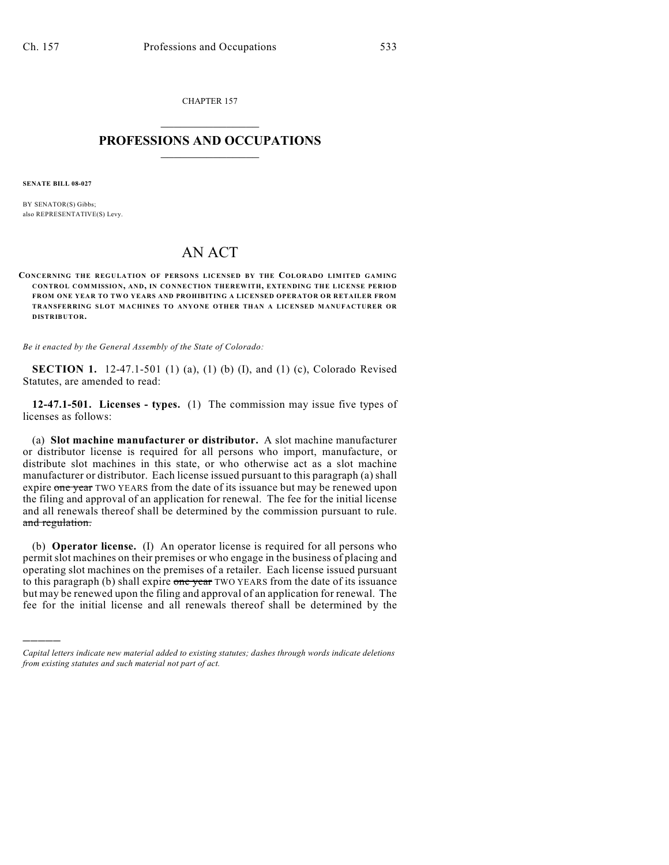CHAPTER 157  $\overline{\phantom{a}}$  . The set of the set of the set of the set of the set of the set of the set of the set of the set of the set of the set of the set of the set of the set of the set of the set of the set of the set of the set o

## **PROFESSIONS AND OCCUPATIONS**  $\frac{1}{2}$  ,  $\frac{1}{2}$  ,  $\frac{1}{2}$  ,  $\frac{1}{2}$  ,  $\frac{1}{2}$  ,  $\frac{1}{2}$

**SENATE BILL 08-027**

)))))

BY SENATOR(S) Gibbs; also REPRESENTATIVE(S) Levy.

## AN ACT

**CONCERNING THE REGULATION OF PERSONS LICENSED BY THE COLORADO LIMITED GAMING CONTROL COMMISSION, AND, IN CONNECTION THEREWITH, EXTENDING THE LICENSE PERIOD FROM ONE YEAR TO TWO YEARS AND PROHIBITING A LICENSED OPERATOR OR RETAILER FROM TRANSFERRING SLOT M ACHINES TO ANYONE OTHER THAN A LICENSED MANUFACTURER OR DISTRIBUTOR.**

*Be it enacted by the General Assembly of the State of Colorado:*

**SECTION 1.** 12-47.1-501 (1) (a), (1) (b) (I), and (1) (c), Colorado Revised Statutes, are amended to read:

**12-47.1-501. Licenses - types.** (1) The commission may issue five types of licenses as follows:

(a) **Slot machine manufacturer or distributor.** A slot machine manufacturer or distributor license is required for all persons who import, manufacture, or distribute slot machines in this state, or who otherwise act as a slot machine manufacturer or distributor. Each license issued pursuant to this paragraph (a) shall expire one year TWO YEARS from the date of its issuance but may be renewed upon the filing and approval of an application for renewal. The fee for the initial license and all renewals thereof shall be determined by the commission pursuant to rule. and regulation.

(b) **Operator license.** (I) An operator license is required for all persons who permit slot machines on their premises or who engage in the business of placing and operating slot machines on the premises of a retailer. Each license issued pursuant to this paragraph (b) shall expire one year TWO YEARS from the date of its issuance but may be renewed upon the filing and approval of an application for renewal. The fee for the initial license and all renewals thereof shall be determined by the

*Capital letters indicate new material added to existing statutes; dashes through words indicate deletions from existing statutes and such material not part of act.*